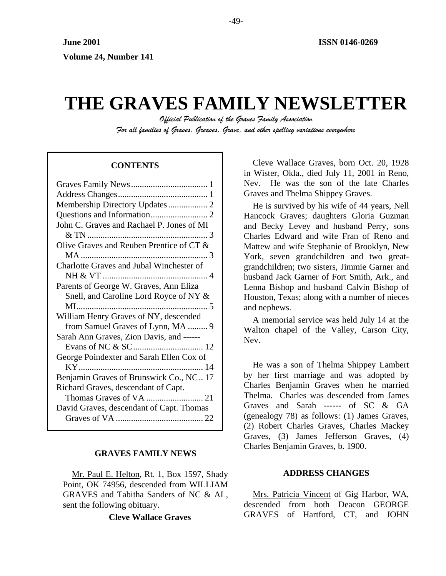# **THE GRAVES FAMILY NEWSLETTER**

*Official Publication of the Graves Family Association For all families of Graves, Greaves, Grave, and other spelling variations everywhere* 

## **CONTENTS**

| Membership Directory Updates 2            |
|-------------------------------------------|
|                                           |
| John C. Graves and Rachael P. Jones of MI |
|                                           |
| Olive Graves and Reuben Prentice of CT &  |
|                                           |
| Charlotte Graves and Jubal Winchester of  |
|                                           |
| Parents of George W. Graves, Ann Eliza    |
| Snell, and Caroline Lord Royce of NY &    |
|                                           |
|                                           |
| William Henry Graves of NY, descended     |
| from Samuel Graves of Lynn, MA  9         |
| Sarah Ann Graves, Zion Davis, and ------  |
|                                           |
|                                           |
| George Poindexter and Sarah Ellen Cox of  |
| Benjamin Graves of Brunswick Co., NC 17   |
| Richard Graves, descendant of Capt.       |
|                                           |
| David Graves, descendant of Capt. Thomas  |
|                                           |

## **GRAVES FAMILY NEWS**

Mr. Paul E. Helton, Rt. 1, Box 1597, Shady Point, OK 74956, descended from WILLIAM GRAVES and Tabitha Sanders of NC & AL, sent the following obituary.

**Cleve Wallace Graves** 

Cleve Wallace Graves, born Oct. 20, 1928 in Wister, Okla., died July 11, 2001 in Reno, Nev. He was the son of the late Charles Graves and Thelma Shippey Graves.

He is survived by his wife of 44 years, Nell Hancock Graves; daughters Gloria Guzman and Becky Levey and husband Perry, sons Charles Edward and wife Fran of Reno and Mattew and wife Stephanie of Brooklyn, New York, seven grandchildren and two greatgrandchildren; two sisters, Jimmie Garner and husband Jack Garner of Fort Smith, Ark., and Lenna Bishop and husband Calvin Bishop of Houston, Texas; along with a number of nieces and nephews.

A memorial service was held July 14 at the Walton chapel of the Valley, Carson City, Nev.

He was a son of Thelma Shippey Lambert by her first marriage and was adopted by Charles Benjamin Graves when he married Thelma. Charles was descended from James Graves and Sarah ------ of SC & GA (genealogy 78) as follows: (1) James Graves, (2) Robert Charles Graves, Charles Mackey Graves, (3) James Jefferson Graves, (4) Charles Benjamin Graves, b. 1900.

## **ADDRESS CHANGES**

Mrs. Patricia Vincent of Gig Harbor, WA, descended from both Deacon GEORGE GRAVES of Hartford, CT, and JOHN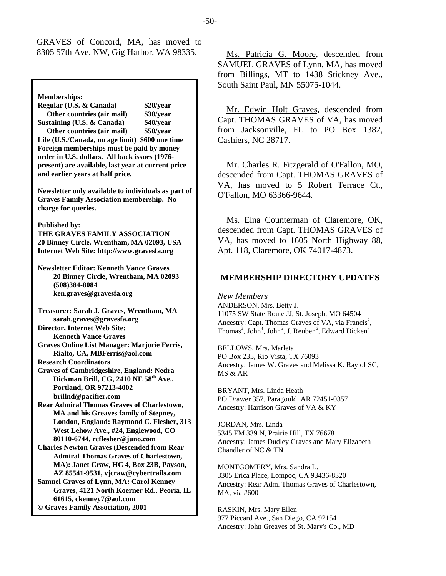GRAVES of Concord, MA, has moved to

**Memberships: Regular (U.S. & Canada) \$20/year Other countries (air mail) \$30/year Sustaining (U.S. & Canada) \$40/year Other countries (air mail) \$50/year Life (U.S./Canada, no age limit) \$600 one time Foreign memberships must be paid by money order in U.S. dollars. All back issues (1976 present) are available, last year at current price and earlier years at half price. Newsletter only available to individuals as part of Graves Family Association membership. No charge for queries. Published by: THE GRAVES FAMILY ASSOCIATION 20 Binney Circle, Wrentham, MA 02093, USA Internet Web Site: http://www.gravesfa.org Newsletter Editor: Kenneth Vance Graves 20 Binney Circle, Wrentham, MA 02093 (508)384-8084 ken.graves@gravesfa.org Treasurer: Sarah J. Graves, Wrentham, MA sarah.graves@gravesfa.org Director, Internet Web Site: Kenneth Vance Graves Graves Online List Manager: Marjorie Ferris, Rialto, CA, MBFerris@aol.com Research Coordinators Graves of Cambridgeshire, England: Nedra**  Dickman Brill, CG, 2410 NE 58<sup>th</sup> Ave., **Portland, OR 97213-4002 brillnd@pacifier.com Rear Admiral Thomas Graves of Charlestown, MA and his Greaves family of Stepney, London, England: Raymond C. Flesher, 313 West Lehow Ave., #24, Englewood, CO 80110-6744, rcflesher@juno.com Charles Newton Graves (Descended from Rear Admiral Thomas Graves of Charlestown, MA): Janet Craw, HC 4, Box 23B, Payson, AZ 85541-9531, vjcraw@cybertrails.com Samuel Graves of Lynn, MA: Carol Kenney Graves, 4121 North Koerner Rd., Peoria, IL 61615, ckenney7@aol.com © Graves Family Association, 2001**

8305 57th Ave. NW, Gig Harbor, WA 98335. Ms. Patricia G. Moore, descended from SAMUEL GRAVES of Lynn, MA, has moved from Billings, MT to 1438 Stickney Ave., South Saint Paul, MN 55075-1044.

> Mr. Edwin Holt Graves, descended from Capt. THOMAS GRAVES of VA, has moved from Jacksonville, FL to PO Box 1382, Cashiers, NC 28717.

> Mr. Charles R. Fitzgerald of O'Fallon, MO, descended from Capt. THOMAS GRAVES of VA, has moved to 5 Robert Terrace Ct., O'Fallon, MO 63366-9644.

> Ms. Elna Counterman of Claremore, OK, descended from Capt. THOMAS GRAVES of VA, has moved to 1605 North Highway 88, Apt. 118, Claremore, OK 74017-4873.

## **MEMBERSHIP DIRECTORY UPDATES**

*New Members*  ANDERSON, Mrs. Betty J. 11075 SW State Route JJ, St. Joseph, MO 64504 Ancestry: Capt. Thomas Graves of VA, via Francis<sup>2</sup>, Thomas<sup>3</sup>, John<sup>4</sup>, John<sup>5</sup>, J. Reuben<sup>6</sup>, Edward Dicken<sup>7</sup>

BELLOWS, Mrs. Marleta PO Box 235, Rio Vista, TX 76093 Ancestry: James W. Graves and Melissa K. Ray of SC, MS & AR

BRYANT, Mrs. Linda Heath PO Drawer 357, Paragould, AR 72451-0357 Ancestry: Harrison Graves of VA & KY

JORDAN, Mrs. Linda 5345 FM 339 N, Prairie Hill, TX 76678 Ancestry: James Dudley Graves and Mary Elizabeth Chandler of NC & TN

MONTGOMERY, Mrs. Sandra L. 3305 Erica Place, Lompoc, CA 93436-8320 Ancestry: Rear Adm. Thomas Graves of Charlestown, MA, via #600

RASKIN, Mrs. Mary Ellen 977 Piccard Ave., San Diego, CA 92154 Ancestry: John Greaves of St. Mary's Co., MD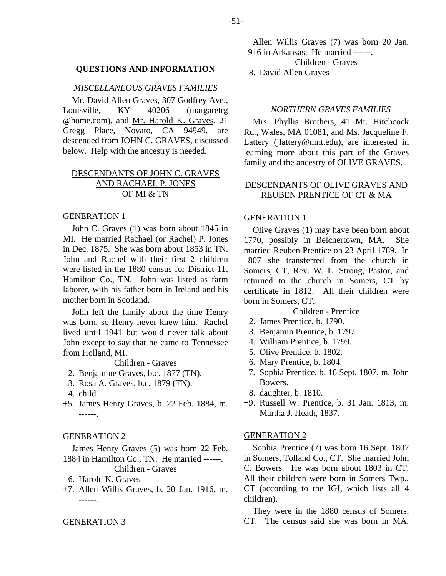#### **QUESTIONS AND INFORMATION**

## *MISCELLANEOUS GRAVES FAMILIES*

Mr. David Allen Graves, 307 Godfrey Ave., Louisville, KY 40206 (margaretrg @home.com), and Mr. Harold K. Graves, 21 Gregg Place, Novato, CA 94949, are descended from JOHN C. GRAVES, discussed below. Help with the ancestry is needed.

# DESCENDANTS OF JOHN C. GRAVES AND RACHAEL P. JONES OF MI & TN

#### GENERATION 1

John C. Graves (1) was born about 1845 in MI. He married Rachael (or Rachel) P. Jones in Dec. 1875. She was born about 1853 in TN. John and Rachel with their first 2 children were listed in the 1880 census for District 11, Hamilton Co., TN. John was listed as farm laborer, with his father born in Ireland and his mother born in Scotland.

John left the family about the time Henry was born, so Henry never knew him. Rachel lived until 1941 but would never talk about John except to say that he came to Tennessee from Holland, MI.

Children - Graves

- 2. Benjamine Graves, b.c. 1877 (TN).
- 3. Rosa A. Graves, b.c. 1879 (TN).
- 4. child
- +5. James Henry Graves, b. 22 Feb. 1884, m. ------.

#### GENERATION 2

James Henry Graves (5) was born 22 Feb. 1884 in Hamilton Co., TN. He married ------. Children - Graves

- 6. Harold K. Graves
- +7. Allen Willis Graves, b. 20 Jan. 1916, m. ------.

#### GENERATION 3

Allen Willis Graves (7) was born 20 Jan. 1916 in Arkansas. He married ------. Children - Graves 8. David Allen Graves

## *NORTHERN GRAVES FAMILIES*

Mrs. Phyllis Brothers, 41 Mt. Hitchcock Rd., Wales, MA 01081, and Ms. Jacqueline F. Lattery (jlattery@nmt.edu), are interested in learning more about this part of the Graves family and the ancestry of OLIVE GRAVES.

# DESCENDANTS OF OLIVE GRAVES AND REUBEN PRENTICE OF CT & MA

#### GENERATION 1

Olive Graves (1) may have been born about 1770, possibly in Belchertown, MA. She married Reuben Prentice on 23 April 1789. In 1807 she transferred from the church in Somers, CT, Rev. W. L. Strong, Pastor, and returned to the church in Somers, CT by certificate in 1812. All their children were born in Somers, CT.

Children - Prentice

- 2. James Prentice, b. 1790.
- 3. Benjamin Prentice, b. 1797.
- 4. William Prentice, b. 1799.
- 5. Olive Prentice, b. 1802.
- 6. Mary Prentice, b. 1804.
- +7. Sophia Prentice, b. 16 Sept. 1807, m. John Bowers.
	- 8. daughter, b. 1810.
- +9. Russell W. Prentice, b. 31 Jan. 1813, m. Martha J. Heath, 1837.

#### GENERATION 2

Sophia Prentice (7) was born 16 Sept. 1807 in Somers, Tolland Co., CT. She married John C. Bowers. He was born about 1803 in CT. All their children were born in Somers Twp., CT (according to the IGI, which lists all 4 children).

They were in the 1880 census of Somers, CT. The census said she was born in MA.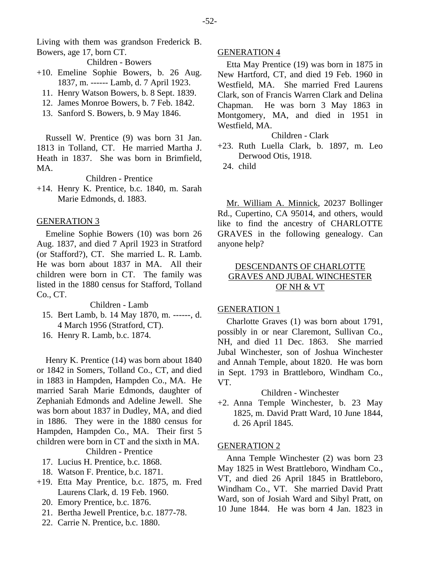Living with them was grandson Frederick B. Bowers, age 17, born CT.

Children - Bowers

- +10. Emeline Sophie Bowers, b. 26 Aug. 1837, m. ------ Lamb, d. 7 April 1923.
	- 11. Henry Watson Bowers, b. 8 Sept. 1839.
	- 12. James Monroe Bowers, b. 7 Feb. 1842.
	- 13. Sanford S. Bowers, b. 9 May 1846.

Russell W. Prentice (9) was born 31 Jan. 1813 in Tolland, CT. He married Martha J. Heath in 1837. She was born in Brimfield, MA.

Children - Prentice

+14. Henry K. Prentice, b.c. 1840, m. Sarah Marie Edmonds, d. 1883.

# GENERATION 3

Emeline Sophie Bowers (10) was born 26 Aug. 1837, and died 7 April 1923 in Stratford (or Stafford?), CT. She married L. R. Lamb. He was born about 1837 in MA. All their children were born in CT. The family was listed in the 1880 census for Stafford, Tolland Co., CT.

Children - Lamb

- 15. Bert Lamb, b. 14 May 1870, m. ------, d. 4 March 1956 (Stratford, CT).
- 16. Henry R. Lamb, b.c. 1874.

Henry K. Prentice (14) was born about 1840 or 1842 in Somers, Tolland Co., CT, and died in 1883 in Hampden, Hampden Co., MA. He married Sarah Marie Edmonds, daughter of Zephaniah Edmonds and Adeline Jewell. She was born about 1837 in Dudley, MA, and died in 1886. They were in the 1880 census for Hampden, Hampden Co., MA. Their first 5 children were born in CT and the sixth in MA. Children - Prentice

- 17. Lucius H. Prentice, b.c. 1868.
- 18. Watson F. Prentice, b.c. 1871.
- +19. Etta May Prentice, b.c. 1875, m. Fred Laurens Clark, d. 19 Feb. 1960.
	- 20. Emory Prentice, b.c. 1876.
	- 21. Bertha Jewell Prentice, b.c. 1877-78.
	- 22. Carrie N. Prentice, b.c. 1880.

## GENERATION 4

Etta May Prentice (19) was born in 1875 in New Hartford, CT, and died 19 Feb. 1960 in Westfield, MA. She married Fred Laurens Clark, son of Francis Warren Clark and Delina Chapman. He was born 3 May 1863 in Montgomery, MA, and died in 1951 in Westfield, MA.

## Children - Clark

- +23. Ruth Luella Clark, b. 1897, m. Leo Derwood Otis, 1918.
	- 24. child

Mr. William A. Minnick, 20237 Bollinger Rd., Cupertino, CA 95014, and others, would like to find the ancestry of CHARLOTTE GRAVES in the following genealogy. Can anyone help?

# DESCENDANTS OF CHARLOTTE GRAVES AND JUBAL WINCHESTER OF NH & VT

## GENERATION 1

Charlotte Graves (1) was born about 1791, possibly in or near Claremont, Sullivan Co., NH, and died 11 Dec. 1863. She married Jubal Winchester, son of Joshua Winchester and Annah Temple, about 1820. He was born in Sept. 1793 in Brattleboro, Windham Co., VT.

Children - Winchester

+2. Anna Temple Winchester, b. 23 May 1825, m. David Pratt Ward, 10 June 1844, d. 26 April 1845.

## GENERATION 2

Anna Temple Winchester (2) was born 23 May 1825 in West Brattleboro, Windham Co., VT, and died 26 April 1845 in Brattleboro, Windham Co., VT. She married David Pratt Ward, son of Josiah Ward and Sibyl Pratt, on 10 June 1844. He was born 4 Jan. 1823 in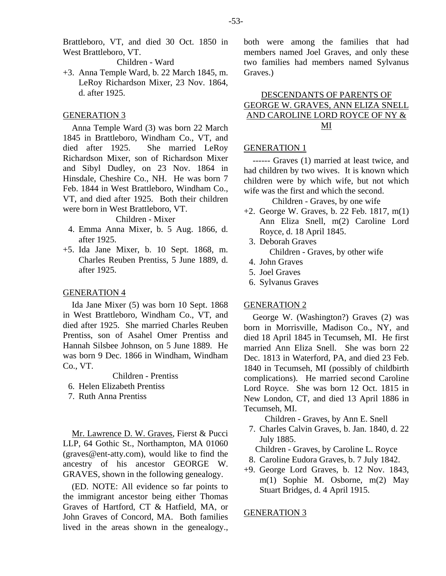Brattleboro, VT, and died 30 Oct. 1850 in West Brattleboro, VT.

Children - Ward

+3. Anna Temple Ward, b. 22 March 1845, m. LeRoy Richardson Mixer, 23 Nov. 1864, d. after 1925.

## GENERATION 3

Anna Temple Ward (3) was born 22 March 1845 in Brattleboro, Windham Co., VT, and died after 1925. She married LeRoy Richardson Mixer, son of Richardson Mixer and Sibyl Dudley, on 23 Nov. 1864 in Hinsdale, Cheshire Co., NH. He was born 7 Feb. 1844 in West Brattleboro, Windham Co., VT, and died after 1925. Both their children were born in West Brattleboro, VT.

#### Children - Mixer

- 4. Emma Anna Mixer, b. 5 Aug. 1866, d. after 1925.
- +5. Ida Jane Mixer, b. 10 Sept. 1868, m. Charles Reuben Prentiss, 5 June 1889, d. after 1925.

## GENERATION 4

Ida Jane Mixer (5) was born 10 Sept. 1868 in West Brattleboro, Windham Co., VT, and died after 1925. She married Charles Reuben Prentiss, son of Asahel Omer Prentiss and Hannah Silsbee Johnson, on 5 June 1889. He was born 9 Dec. 1866 in Windham, Windham Co., VT.

Children - Prentiss

- 6. Helen Elizabeth Prentiss
- 7. Ruth Anna Prentiss

Mr. Lawrence D. W. Graves, Fierst & Pucci LLP, 64 Gothic St., Northampton, MA 01060 (graves@ent-atty.com), would like to find the ancestry of his ancestor GEORGE W. GRAVES, shown in the following genealogy.

(ED. NOTE: All evidence so far points to the immigrant ancestor being either Thomas Graves of Hartford, CT & Hatfield, MA, or John Graves of Concord, MA. Both families lived in the areas shown in the genealogy., both were among the families that had members named Joel Graves, and only these two families had members named Sylvanus Graves.)

# DESCENDANTS OF PARENTS OF GEORGE W. GRAVES, ANN ELIZA SNELL AND CAROLINE LORD ROYCE OF NY & MI

#### GENERATION 1

------ Graves (1) married at least twice, and had children by two wives. It is known which children were by which wife, but not which wife was the first and which the second.

Children - Graves, by one wife

- +2. George W. Graves, b. 22 Feb. 1817, m(1) Ann Eliza Snell, m(2) Caroline Lord Royce, d. 18 April 1845.
	- 3. Deborah Graves

Children - Graves, by other wife

- 4. John Graves
- 5. Joel Graves
- 6. Sylvanus Graves

## GENERATION 2

George W. (Washington?) Graves (2) was born in Morrisville, Madison Co., NY, and died 18 April 1845 in Tecumseh, MI. He first married Ann Eliza Snell. She was born 22 Dec. 1813 in Waterford, PA, and died 23 Feb. 1840 in Tecumseh, MI (possibly of childbirth complications). He married second Caroline Lord Royce. She was born 12 Oct. 1815 in New London, CT, and died 13 April 1886 in Tecumseh, MI.

Children - Graves, by Ann E. Snell

 7. Charles Calvin Graves, b. Jan. 1840, d. 22 July 1885.

Children - Graves, by Caroline L. Royce

- 8. Caroline Eudora Graves, b. 7 July 1842.
- +9. George Lord Graves, b. 12 Nov. 1843, m(1) Sophie M. Osborne, m(2) May Stuart Bridges, d. 4 April 1915.

#### GENERATION 3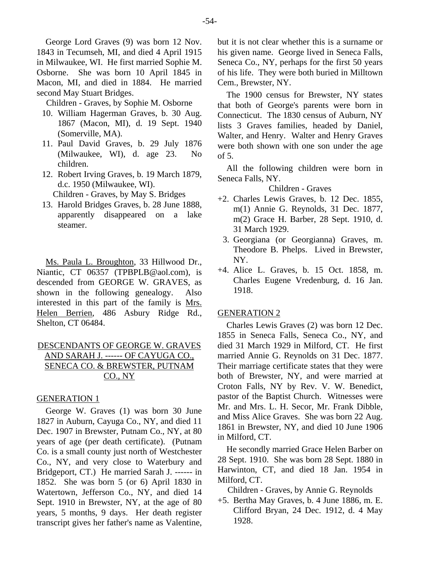George Lord Graves (9) was born 12 Nov. 1843 in Tecumseh, MI, and died 4 April 1915 in Milwaukee, WI. He first married Sophie M. Osborne. She was born 10 April 1845 in Macon, MI, and died in 1884. He married second May Stuart Bridges.

Children - Graves, by Sophie M. Osborne

- 10. William Hagerman Graves, b. 30 Aug. 1867 (Macon, MI), d. 19 Sept. 1940 (Somerville, MA).
- 11. Paul David Graves, b. 29 July 1876 (Milwaukee, WI), d. age 23. No children.
- 12. Robert Irving Graves, b. 19 March 1879, d.c. 1950 (Milwaukee, WI). Children - Graves, by May S. Bridges
- 13. Harold Bridges Graves, b. 28 June 1888, apparently disappeared on a lake steamer.

Ms. Paula L. Broughton, 33 Hillwood Dr., Niantic, CT 06357 (TPBPLB@aol.com), is descended from GEORGE W. GRAVES, as shown in the following genealogy. Also interested in this part of the family is Mrs. Helen Berrien, 486 Asbury Ridge Rd., Shelton, CT 06484.

# DESCENDANTS OF GEORGE W. GRAVES AND SARAH J. ------ OF CAYUGA CO., SENECA CO. & BREWSTER, PUTNAM CO., NY

## GENERATION 1

George W. Graves (1) was born 30 June 1827 in Auburn, Cayuga Co., NY, and died 11 Dec. 1907 in Brewster, Putnam Co., NY, at 80 years of age (per death certificate). (Putnam Co. is a small county just north of Westchester Co., NY, and very close to Waterbury and Bridgeport, CT.) He married Sarah J. ------ in 1852. She was born 5 (or 6) April 1830 in Watertown, Jefferson Co., NY, and died 14 Sept. 1910 in Brewster, NY, at the age of 80 years, 5 months, 9 days. Her death register transcript gives her father's name as Valentine, but it is not clear whether this is a surname or his given name. George lived in Seneca Falls, Seneca Co., NY, perhaps for the first 50 years of his life. They were both buried in Milltown Cem., Brewster, NY.

The 1900 census for Brewster, NY states that both of George's parents were born in Connecticut. The 1830 census of Auburn, NY lists 3 Graves families, headed by Daniel, Walter, and Henry. Walter and Henry Graves were both shown with one son under the age of 5.

All the following children were born in Seneca Falls, NY.

Children - Graves

- +2. Charles Lewis Graves, b. 12 Dec. 1855, m(1) Annie G. Reynolds, 31 Dec. 1877, m(2) Grace H. Barber, 28 Sept. 1910, d. 31 March 1929.
	- 3. Georgiana (or Georgianna) Graves, m. Theodore B. Phelps. Lived in Brewster, NY.
- +4. Alice L. Graves, b. 15 Oct. 1858, m. Charles Eugene Vredenburg, d. 16 Jan. 1918.

#### GENERATION 2

Charles Lewis Graves (2) was born 12 Dec. 1855 in Seneca Falls, Seneca Co., NY, and died 31 March 1929 in Milford, CT. He first married Annie G. Reynolds on 31 Dec. 1877. Their marriage certificate states that they were both of Brewster, NY, and were married at Croton Falls, NY by Rev. V. W. Benedict, pastor of the Baptist Church. Witnesses were Mr. and Mrs. L. H. Secor, Mr. Frank Dibble, and Miss Alice Graves. She was born 22 Aug. 1861 in Brewster, NY, and died 10 June 1906 in Milford, CT.

He secondly married Grace Helen Barber on 28 Sept. 1910. She was born 28 Sept. 1880 in Harwinton, CT, and died 18 Jan. 1954 in Milford, CT.

Children - Graves, by Annie G. Reynolds

+5. Bertha May Graves, b. 4 June 1886, m. E. Clifford Bryan, 24 Dec. 1912, d. 4 May 1928.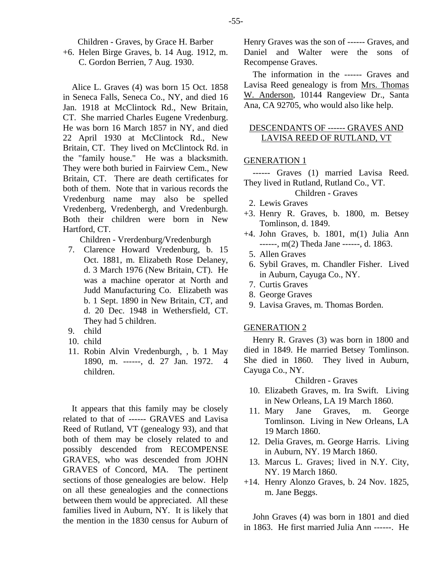Children - Graves, by Grace H. Barber

+6. Helen Birge Graves, b. 14 Aug. 1912, m. C. Gordon Berrien, 7 Aug. 1930.

Alice L. Graves (4) was born 15 Oct. 1858 in Seneca Falls, Seneca Co., NY, and died 16 Jan. 1918 at McClintock Rd., New Britain, CT. She married Charles Eugene Vredenburg. He was born 16 March 1857 in NY, and died 22 April 1930 at McClintock Rd., New Britain, CT. They lived on McClintock Rd. in the "family house." He was a blacksmith. They were both buried in Fairview Cem., New Britain, CT. There are death certificates for both of them. Note that in various records the Vredenburg name may also be spelled Vredenberg, Vredenbergh, and Vredenburgh. Both their children were born in New Hartford, CT.

Children - Vrerdenburg/Vredenburgh

- 7. Clarence Howard Vredenburg, b. 15 Oct. 1881, m. Elizabeth Rose Delaney, d. 3 March 1976 (New Britain, CT). He was a machine operator at North and Judd Manufacturing Co. Elizabeth was b. 1 Sept. 1890 in New Britain, CT, and d. 20 Dec. 1948 in Wethersfield, CT. They had 5 children.
- 9. child
- 10. child
- 11. Robin Alvin Vredenburgh, , b. 1 May 1890, m. ------, d. 27 Jan. 1972. 4 children.

It appears that this family may be closely related to that of ------ GRAVES and Lavisa Reed of Rutland, VT (genealogy 93), and that both of them may be closely related to and possibly descended from RECOMPENSE GRAVES, who was descended from JOHN GRAVES of Concord, MA. The pertinent sections of those genealogies are below. Help on all these genealogies and the connections between them would be appreciated. All these families lived in Auburn, NY. It is likely that the mention in the 1830 census for Auburn of Henry Graves was the son of ------ Graves, and Daniel and Walter were the sons of Recompense Graves.

The information in the ------ Graves and Lavisa Reed genealogy is from Mrs. Thomas W. Anderson, 10144 Rangeview Dr., Santa Ana, CA 92705, who would also like help.

# DESCENDANTS OF ------ GRAVES AND LAVISA REED OF RUTLAND, VT

## GENERATION 1

------ Graves (1) married Lavisa Reed. They lived in Rutland, Rutland Co., VT.

# Children - Graves

- 2. Lewis Graves
- +3. Henry R. Graves, b. 1800, m. Betsey Tomlinson, d. 1849.
- +4. John Graves, b. 1801, m(1) Julia Ann ------, m(2) Theda Jane ------, d. 1863.
	- 5. Allen Graves
	- 6. Sybil Graves, m. Chandler Fisher. Lived in Auburn, Cayuga Co., NY.
	- 7. Curtis Graves
	- 8. George Graves
	- 9. Lavisa Graves, m. Thomas Borden.

## GENERATION 2

Henry R. Graves (3) was born in 1800 and died in 1849. He married Betsey Tomlinson. She died in 1860. They lived in Auburn, Cayuga Co., NY.

#### Children - Graves

- 10. Elizabeth Graves, m. Ira Swift. Living in New Orleans, LA 19 March 1860.
- 11. Mary Jane Graves, m. George Tomlinson. Living in New Orleans, LA 19 March 1860.
- 12. Delia Graves, m. George Harris. Living in Auburn, NY. 19 March 1860.
- 13. Marcus L. Graves; lived in N.Y. City, NY. 19 March 1860.
- +14. Henry Alonzo Graves, b. 24 Nov. 1825, m. Jane Beggs.

John Graves (4) was born in 1801 and died in 1863. He first married Julia Ann ------. He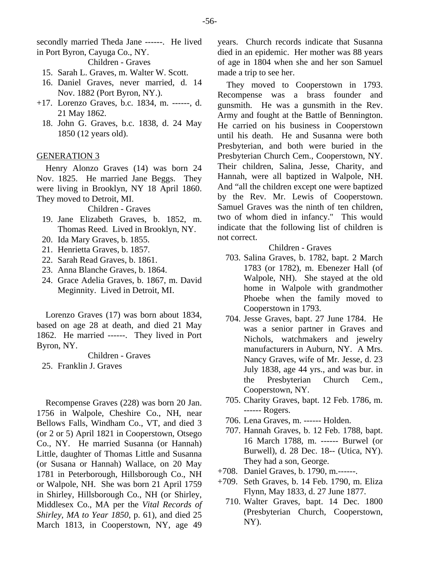secondly married Theda Jane ------. He lived in Port Byron, Cayuga Co., NY.

Children - Graves

- 15. Sarah L. Graves, m. Walter W. Scott.
- 16. Daniel Graves, never married, d. 14 Nov. 1882 (Port Byron, NY.).
- +17. Lorenzo Graves, b.c. 1834, m. ------, d. 21 May 1862.
	- 18. John G. Graves, b.c. 1838, d. 24 May 1850 (12 years old).

# GENERATION 3

Henry Alonzo Graves (14) was born 24 Nov. 1825. He married Jane Beggs. They were living in Brooklyn, NY 18 April 1860. They moved to Detroit, MI.

## Children - Graves

- 19. Jane Elizabeth Graves, b. 1852, m. Thomas Reed. Lived in Brooklyn, NY.
- 20. Ida Mary Graves, b. 1855.
- 21. Henrietta Graves, b. 1857.
- 22. Sarah Read Graves, b. 1861.
- 23. Anna Blanche Graves, b. 1864.
- 24. Grace Adelia Graves, b. 1867, m. David Meginnity. Lived in Detroit, MI.

Lorenzo Graves (17) was born about 1834, based on age 28 at death, and died 21 May 1862. He married ------. They lived in Port Byron, NY.

Children - Graves

25. Franklin J. Graves

Recompense Graves (228) was born 20 Jan. 1756 in Walpole, Cheshire Co., NH, near Bellows Falls, Windham Co., VT, and died 3 (or 2 or 5) April 1821 in Cooperstown, Otsego Co., NY. He married Susanna (or Hannah) Little, daughter of Thomas Little and Susanna (or Susana or Hannah) Wallace, on 20 May 1781 in Peterborough, Hillsborough Co., NH or Walpole, NH. She was born 21 April 1759 in Shirley, Hillsborough Co., NH (or Shirley, Middlesex Co., MA per the *Vital Records of Shirley, MA to Year 1850*, p. 61), and died 25 March 1813, in Cooperstown, NY, age 49

years. Church records indicate that Susanna died in an epidemic. Her mother was 88 years of age in 1804 when she and her son Samuel made a trip to see her.

They moved to Cooperstown in 1793. Recompense was a brass founder and gunsmith. He was a gunsmith in the Rev. Army and fought at the Battle of Bennington. He carried on his business in Cooperstown until his death. He and Susanna were both Presbyterian, and both were buried in the Presbyterian Church Cem., Cooperstown, NY. Their children, Salina, Jesse, Charity, and Hannah, were all baptized in Walpole, NH. And "all the children except one were baptized by the Rev. Mr. Lewis of Cooperstown. Samuel Graves was the ninth of ten children, two of whom died in infancy." This would indicate that the following list of children is not correct.

- 703. Salina Graves, b. 1782, bapt. 2 March 1783 (or 1782), m. Ebenezer Hall (of Walpole, NH). She stayed at the old home in Walpole with grandmother Phoebe when the family moved to Cooperstown in 1793.
- 704. Jesse Graves, bapt. 27 June 1784. He was a senior partner in Graves and Nichols, watchmakers and jewelry manufacturers in Auburn, NY. A Mrs. Nancy Graves, wife of Mr. Jesse, d. 23 July 1838, age 44 yrs., and was bur. in the Presbyterian Church Cem., Cooperstown, NY.
- 705. Charity Graves, bapt. 12 Feb. 1786, m. ------ Rogers.
- 706. Lena Graves, m. ------ Holden.
- 707. Hannah Graves, b. 12 Feb. 1788, bapt. 16 March 1788, m. ------ Burwel (or Burwell), d. 28 Dec. 18-- (Utica, NY). They had a son, George.
- +708. Daniel Graves, b. 1790, m.------.
- +709. Seth Graves, b. 14 Feb. 1790, m. Eliza Flynn, May 1833, d. 27 June 1877.
	- 710. Walter Graves, bapt. 14 Dec. 1800 (Presbyterian Church, Cooperstown, NY).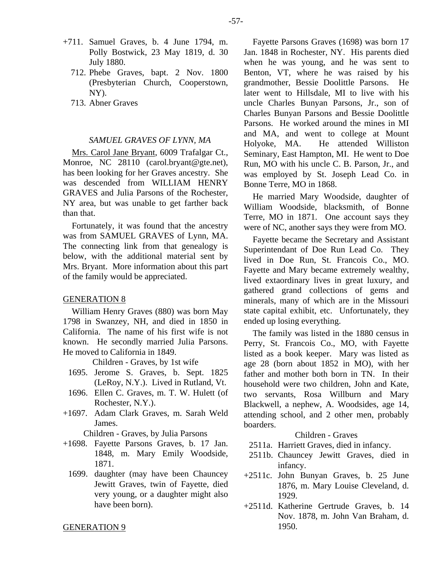- +711. Samuel Graves, b. 4 June 1794, m. Polly Bostwick, 23 May 1819, d. 30 July 1880.
	- 712. Phebe Graves, bapt. 2 Nov. 1800 (Presbyterian Church, Cooperstown, NY).
	- 713. Abner Graves

## *SAMUEL GRAVES OF LYNN, MA*

Mrs. Carol Jane Bryant, 6009 Trafalgar Ct., Monroe, NC 28110 (carol.bryant@gte.net), has been looking for her Graves ancestry. She was descended from WILLIAM HENRY GRAVES and Julia Parsons of the Rochester, NY area, but was unable to get farther back than that.

Fortunately, it was found that the ancestry was from SAMUEL GRAVES of Lynn, MA. The connecting link from that genealogy is below, with the additional material sent by Mrs. Bryant. More information about this part of the family would be appreciated.

#### GENERATION 8

William Henry Graves (880) was born May 1798 in Swanzey, NH, and died in 1850 in California. The name of his first wife is not known. He secondly married Julia Parsons. He moved to California in 1849.

Children - Graves, by 1st wife

- 1695. Jerome S. Graves, b. Sept. 1825 (LeRoy, N.Y.). Lived in Rutland, Vt.
- 1696. Ellen C. Graves, m. T. W. Hulett (of Rochester, N.Y.).
- +1697. Adam Clark Graves, m. Sarah Weld James.

Children - Graves, by Julia Parsons

- +1698. Fayette Parsons Graves, b. 17 Jan. 1848, m. Mary Emily Woodside, 1871.
	- 1699. daughter (may have been Chauncey Jewitt Graves, twin of Fayette, died very young, or a daughter might also have been born).

GENERATION 9

Fayette Parsons Graves (1698) was born 17 Jan. 1848 in Rochester, NY. His parents died when he was young, and he was sent to Benton, VT, where he was raised by his grandmother, Bessie Doolittle Parsons. He later went to Hillsdale, MI to live with his uncle Charles Bunyan Parsons, Jr., son of Charles Bunyan Parsons and Bessie Doolittle Parsons. He worked around the mines in MI and MA, and went to college at Mount Holyoke, MA. He attended Williston Seminary, East Hampton, MI. He went to Doe Run, MO with his uncle C. B. Parson, Jr., and was employed by St. Joseph Lead Co. in Bonne Terre, MO in 1868.

He married Mary Woodside, daughter of William Woodside, blacksmith, of Bonne Terre, MO in 1871. One account says they were of NC, another says they were from MO.

Fayette became the Secretary and Assistant Superintendant of Doe Run Lead Co. They lived in Doe Run, St. Francois Co., MO. Fayette and Mary became extremely wealthy, lived extaordinary lives in great luxury, and gathered grand collections of gems and minerals, many of which are in the Missouri state capital exhibit, etc. Unfortunately, they ended up losing everything.

The family was listed in the 1880 census in Perry, St. Francois Co., MO, with Fayette listed as a book keeper. Mary was listed as age 28 (born about 1852 in MO), with her father and mother both born in TN. In their household were two children, John and Kate, two servants, Rosa Willburn and Mary Blackwell, a nephew, A. Woodsides, age 14, attending school, and 2 other men, probably boarders.

- 2511a. Harriett Graves, died in infancy.
- 2511b. Chauncey Jewitt Graves, died in infancy.
- +2511c. John Bunyan Graves, b. 25 June 1876, m. Mary Louise Cleveland, d. 1929.
- +2511d. Katherine Gertrude Graves, b. 14 Nov. 1878, m. John Van Braham, d. 1950.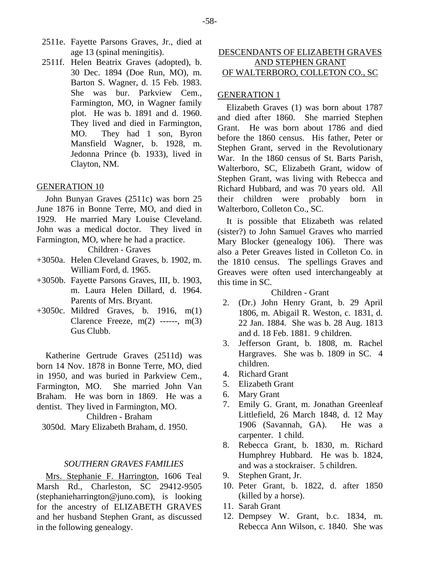- 2511e. Fayette Parsons Graves, Jr., died at age 13 (spinal meningitis).
- 2511f. Helen Beatrix Graves (adopted), b. 30 Dec. 1894 (Doe Run, MO), m. Barton S. Wagner, d. 15 Feb. 1983. She was bur. Parkview Cem., Farmington, MO, in Wagner family plot. He was b. 1891 and d. 1960. They lived and died in Farmington, MO. They had 1 son, Byron Mansfield Wagner, b. 1928, m. Jedonna Prince (b. 1933), lived in Clayton, NM.

## GENERATION 10

John Bunyan Graves (2511c) was born 25 June 1876 in Bonne Terre, MO, and died in 1929. He married Mary Louise Cleveland. John was a medical doctor. They lived in Farmington, MO, where he had a practice.

Children - Graves

- +3050a. Helen Cleveland Graves, b. 1902, m. William Ford, d. 1965.
- +3050b. Fayette Parsons Graves, III, b. 1903, m. Laura Helen Dillard, d. 1964. Parents of Mrs. Bryant.
- +3050c. Mildred Graves, b. 1916, m(1) Clarence Freeze,  $m(2)$  ------,  $m(3)$ Gus Clubb.

Katherine Gertrude Graves (2511d) was born 14 Nov. 1878 in Bonne Terre, MO, died in 1950, and was buried in Parkview Cem., Farmington, MO. She married John Van Braham. He was born in 1869. He was a dentist. They lived in Farmington, MO.

Children - Braham

3050d. Mary Elizabeth Braham, d. 1950.

## *SOUTHERN GRAVES FAMILIES*

Mrs. Stephanie F. Harrington, 1606 Teal Marsh Rd., Charleston, SC 29412-9505 (stephanieharrington@juno.com), is looking for the ancestry of ELIZABETH GRAVES and her husband Stephen Grant, as discussed in the following genealogy.

# DESCENDANTS OF ELIZABETH GRAVES AND STEPHEN GRANT OF WALTERBORO, COLLETON CO., SC

## GENERATION 1

Elizabeth Graves (1) was born about 1787 and died after 1860. She married Stephen Grant. He was born about 1786 and died before the 1860 census. His father, Peter or Stephen Grant, served in the Revolutionary War. In the 1860 census of St. Barts Parish, Walterboro, SC, Elizabeth Grant, widow of Stephen Grant, was living with Rebecca and Richard Hubbard, and was 70 years old. All their children were probably born in Walterboro, Colleton Co., SC.

It is possible that Elizabeth was related (sister?) to John Samuel Graves who married Mary Blocker (genealogy 106). There was also a Peter Greaves listed in Colleton Co. in the 1810 census. The spellings Graves and Greaves were often used interchangeably at this time in SC.

# Children - Grant

- 2. (Dr.) John Henry Grant, b. 29 April 1806, m. Abigail R. Weston, c. 1831, d. 22 Jan. 1884. She was b. 28 Aug. 1813 and d. 18 Feb. 1881. 9 children.
- 3. Jefferson Grant, b. 1808, m. Rachel Hargraves. She was b. 1809 in SC. 4 children.
- 4. Richard Grant
- 5. Elizabeth Grant
- 6. Mary Grant
- 7. Emily G. Grant, m. Jonathan Greenleaf Littlefield, 26 March 1848, d. 12 May 1906 (Savannah, GA). He was a carpenter. 1 child.
- 8. Rebecca Grant, b. 1830, m. Richard Humphrey Hubbard. He was b. 1824, and was a stockraiser. 5 children.
- 9. Stephen Grant, Jr.
- 10. Peter Grant, b. 1822, d. after 1850 (killed by a horse).
- 11. Sarah Grant
- 12. Dempsey W. Grant, b.c. 1834, m. Rebecca Ann Wilson, c. 1840. She was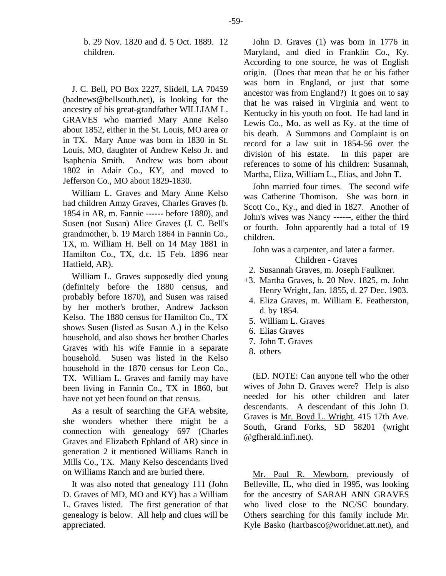b. 29 Nov. 1820 and d. 5 Oct. 1889. 12 children.

J. C. Bell, PO Box 2227, Slidell, LA 70459 (badnews@bellsouth.net), is looking for the ancestry of his great-grandfather WILLIAM L. GRAVES who married Mary Anne Kelso about 1852, either in the St. Louis, MO area or in TX. Mary Anne was born in 1830 in St. Louis, MO, daughter of Andrew Kelso Jr. and Isaphenia Smith. Andrew was born about 1802 in Adair Co., KY, and moved to Jefferson Co., MO about 1829-1830.

William L. Graves and Mary Anne Kelso had children Amzy Graves, Charles Graves (b. 1854 in AR, m. Fannie ------ before 1880), and Susen (not Susan) Alice Graves (J. C. Bell's grandmother, b. 19 March 1864 in Fannin Co., TX, m. William H. Bell on 14 May 1881 in Hamilton Co., TX, d.c. 15 Feb. 1896 near Hatfield, AR).

William L. Graves supposedly died young (definitely before the 1880 census, and probably before 1870), and Susen was raised by her mother's brother, Andrew Jackson Kelso. The 1880 census for Hamilton Co., TX shows Susen (listed as Susan A.) in the Kelso household, and also shows her brother Charles Graves with his wife Fannie in a separate household. Susen was listed in the Kelso household in the 1870 census for Leon Co., TX. William L. Graves and family may have been living in Fannin Co., TX in 1860, but have not yet been found on that census.

As a result of searching the GFA website, she wonders whether there might be a connection with genealogy 697 (Charles Graves and Elizabeth Ephland of AR) since in generation 2 it mentioned Williams Ranch in Mills Co., TX. Many Kelso descendants lived on Williams Ranch and are buried there.

It was also noted that genealogy 111 (John D. Graves of MD, MO and KY) has a William L. Graves listed. The first generation of that genealogy is below. All help and clues will be appreciated.

John D. Graves (1) was born in 1776 in Maryland, and died in Franklin Co., Ky. According to one source, he was of English origin. (Does that mean that he or his father was born in England, or just that some ancestor was from England?) It goes on to say that he was raised in Virginia and went to Kentucky in his youth on foot. He had land in Lewis Co., Mo. as well as Ky. at the time of his death. A Summons and Complaint is on record for a law suit in 1854-56 over the division of his estate. In this paper are references to some of his children: Susannah, Martha, Eliza, William L., Elias, and John T.

John married four times. The second wife was Catherine Thomison. She was born in Scott Co., Ky., and died in 1827. Another of John's wives was Nancy ------, either the third or fourth. John apparently had a total of 19 children.

John was a carpenter, and later a farmer. Children - Graves

- 2. Susannah Graves, m. Joseph Faulkner.
- +3. Martha Graves, b. 20 Nov. 1825, m. John Henry Wright, Jan. 1855, d. 27 Dec. 1903.
	- 4. Eliza Graves, m. William E. Featherston, d. by 1854.
- 5. William L. Graves
- 6. Elias Graves
- 7. John T. Graves
- 8. others

(ED. NOTE: Can anyone tell who the other wives of John D. Graves were? Help is also needed for his other children and later descendants. A descendant of this John D. Graves is Mr. Boyd L. Wright, 415 17th Ave. South, Grand Forks, SD 58201 (wright @gfherald.infi.net).

Mr. Paul R. Mewborn, previously of Belleville, IL, who died in 1995, was looking for the ancestry of SARAH ANN GRAVES who lived close to the NC/SC boundary. Others searching for this family include Mr. Kyle Basko (hartbasco@worldnet.att.net), and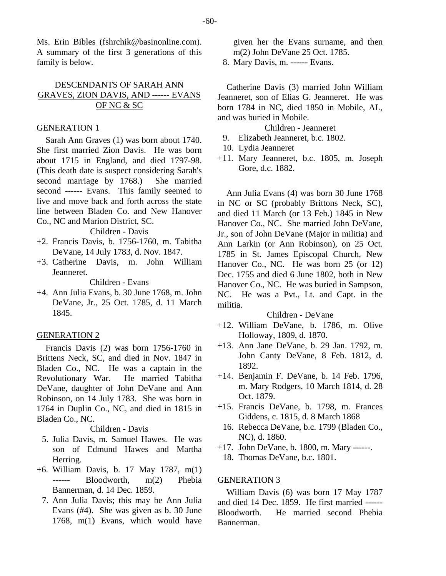Ms. Erin Bibles (fshrchik@basinonline.com). A summary of the first 3 generations of this family is below.

# DESCENDANTS OF SARAH ANN GRAVES, ZION DAVIS, AND ------ EVANS OF NC & SC

## GENERATION 1

Sarah Ann Graves (1) was born about 1740. She first married Zion Davis. He was born about 1715 in England, and died 1797-98. (This death date is suspect considering Sarah's second marriage by 1768.) She married second ------ Evans. This family seemed to live and move back and forth across the state line between Bladen Co. and New Hanover Co., NC and Marion District, SC.

Children - Davis

- +2. Francis Davis, b. 1756-1760, m. Tabitha DeVane, 14 July 1783, d. Nov. 1847.
- +3. Catherine Davis, m. John William Jeanneret.

Children - Evans

+4. Ann Julia Evans, b. 30 June 1768, m. John DeVane, Jr., 25 Oct. 1785, d. 11 March 1845.

## GENERATION 2

Francis Davis (2) was born 1756-1760 in Brittens Neck, SC, and died in Nov. 1847 in Bladen Co., NC. He was a captain in the Revolutionary War. He married Tabitha DeVane, daughter of John DeVane and Ann Robinson, on 14 July 1783. She was born in 1764 in Duplin Co., NC, and died in 1815 in Bladen Co., NC.

Children - Davis

- 5. Julia Davis, m. Samuel Hawes. He was son of Edmund Hawes and Martha Herring.
- +6. William Davis, b. 17 May 1787, m(1) ------ Bloodworth, m(2) Phebia Bannerman, d. 14 Dec. 1859.
	- 7. Ann Julia Davis; this may be Ann Julia Evans (#4). She was given as b. 30 June 1768, m(1) Evans, which would have

given her the Evans surname, and then m(2) John DeVane 25 Oct. 1785.

8. Mary Davis, m. ------ Evans.

Catherine Davis (3) married John William Jeanneret, son of Elias G. Jeanneret. He was born 1784 in NC, died 1850 in Mobile, AL, and was buried in Mobile.

Children - Jeanneret

- 9. Elizabeth Jeanneret, b.c. 1802.
- 10. Lydia Jeanneret
- +11. Mary Jeanneret, b.c. 1805, m. Joseph Gore, d.c. 1882.

Ann Julia Evans (4) was born 30 June 1768 in NC or SC (probably Brittons Neck, SC), and died 11 March (or 13 Feb.) 1845 in New Hanover Co., NC. She married John DeVane, Jr., son of John DeVane (Major in militia) and Ann Larkin (or Ann Robinson), on 25 Oct. 1785 in St. James Episcopal Church, New Hanover Co., NC. He was born 25 (or 12) Dec. 1755 and died 6 June 1802, both in New Hanover Co., NC. He was buried in Sampson, NC. He was a Pvt., Lt. and Capt. in the militia.

## Children - DeVane

- +12. William DeVane, b. 1786, m. Olive Holloway, 1809, d. 1870.
- +13. Ann Jane DeVane, b. 29 Jan. 1792, m. John Canty DeVane, 8 Feb. 1812, d. 1892.
- +14. Benjamin F. DeVane, b. 14 Feb. 1796, m. Mary Rodgers, 10 March 1814, d. 28 Oct. 1879.
- +15. Francis DeVane, b. 1798, m. Frances Giddens, c. 1815, d. 8 March 1868
	- 16. Rebecca DeVane, b.c. 1799 (Bladen Co., NC), d. 1860.
- +17. John DeVane, b. 1800, m. Mary ------.
	- 18. Thomas DeVane, b.c. 1801.

# GENERATION 3

William Davis (6) was born 17 May 1787 and died 14 Dec. 1859. He first married ------ Bloodworth. He married second Phebia Bannerman.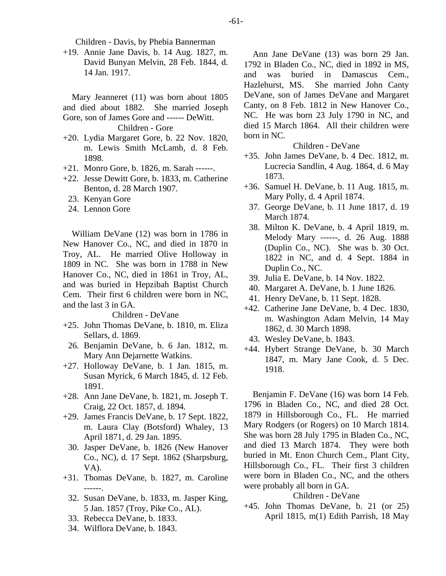Children - Davis, by Phebia Bannerman

+19. Annie Jane Davis, b. 14 Aug. 1827, m. David Bunyan Melvin, 28 Feb. 1844, d. 14 Jan. 1917.

Mary Jeanneret (11) was born about 1805 and died about 1882. She married Joseph Gore, son of James Gore and ------ DeWitt. Children - Gore

- +20. Lydia Margaret Gore, b. 22 Nov. 1820, m. Lewis Smith McLamb, d. 8 Feb. 1898.
- +21. Monro Gore, b. 1826, m. Sarah ------.
- +22. Jesse Dewitt Gore, b. 1833, m. Catherine Benton, d. 28 March 1907.
	- 23. Kenyan Gore
	- 24. Lennon Gore

William DeVane (12) was born in 1786 in New Hanover Co., NC, and died in 1870 in Troy, AL. He married Olive Holloway in 1809 in NC. She was born in 1788 in New Hanover Co., NC, died in 1861 in Troy, AL, and was buried in Hepzibah Baptist Church Cem. Their first 6 children were born in NC, and the last 3 in GA.

#### Children - DeVane

- +25. John Thomas DeVane, b. 1810, m. Eliza Sellars, d. 1869.
	- 26. Benjamin DeVane, b. 6 Jan. 1812, m. Mary Ann Dejarnette Watkins.
- +27. Holloway DeVane, b. 1 Jan. 1815, m. Susan Myrick, 6 March 1845, d. 12 Feb. 1891.
- +28. Ann Jane DeVane, b. 1821, m. Joseph T. Craig, 22 Oct. 1857, d. 1894.
- +29. James Francis DeVane, b. 17 Sept. 1822, m. Laura Clay (Botsford) Whaley, 13 April 1871, d. 29 Jan. 1895.
- 30. Jasper DeVane, b. 1826 (New Hanover Co., NC), d. 17 Sept. 1862 (Sharpsburg, VA).
- +31. Thomas DeVane, b. 1827, m. Caroline ------.
	- 32. Susan DeVane, b. 1833, m. Jasper King, 5 Jan. 1857 (Troy, Pike Co., AL).
	- 33. Rebecca DeVane, b. 1833.
	- 34. Wilflora DeVane, b. 1843.

Ann Jane DeVane (13) was born 29 Jan. 1792 in Bladen Co., NC, died in 1892 in MS, and was buried in Damascus Cem., Hazlehurst, MS. She married John Canty DeVane, son of James DeVane and Margaret Canty, on 8 Feb. 1812 in New Hanover Co., NC. He was born 23 July 1790 in NC, and died 15 March 1864. All their children were born in NC.

## Children - DeVane

- +35. John James DeVane, b. 4 Dec. 1812, m. Lucrecia Sandlin, 4 Aug. 1864, d. 6 May 1873.
- +36. Samuel H. DeVane, b. 11 Aug. 1815, m. Mary Polly, d. 4 April 1874.
- 37. George DeVane, b. 11 June 1817, d. 19 March 1874.
- 38. Milton K. DeVane, b. 4 April 1819, m. Melody Mary ------, d. 26 Aug. 1888 (Duplin Co., NC). She was b. 30 Oct. 1822 in NC, and d. 4 Sept. 1884 in Duplin Co., NC.
- 39. Julia E. DeVane, b. 14 Nov. 1822.
- 40. Margaret A. DeVane, b. 1 June 1826.
- 41. Henry DeVane, b. 11 Sept. 1828.
- +42. Catherine Jane DeVane, b. 4 Dec. 1830, m. Washington Adam Melvin, 14 May 1862, d. 30 March 1898.
- 43. Wesley DeVane, b. 1843.
- +44. Hybert Strange DeVane, b. 30 March 1847, m. Mary Jane Cook, d. 5 Dec. 1918.

Benjamin F. DeVane (16) was born 14 Feb. 1796 in Bladen Co., NC, and died 28 Oct. 1879 in Hillsborough Co., FL. He married Mary Rodgers (or Rogers) on 10 March 1814. She was born 28 July 1795 in Bladen Co., NC, and died 13 March 1874. They were both buried in Mt. Enon Church Cem., Plant City, Hillsborough Co., FL. Their first 3 children were born in Bladen Co., NC, and the others were probably all born in GA.

# Children - DeVane

+45. John Thomas DeVane, b. 21 (or 25) April 1815, m(1) Edith Parrish, 18 May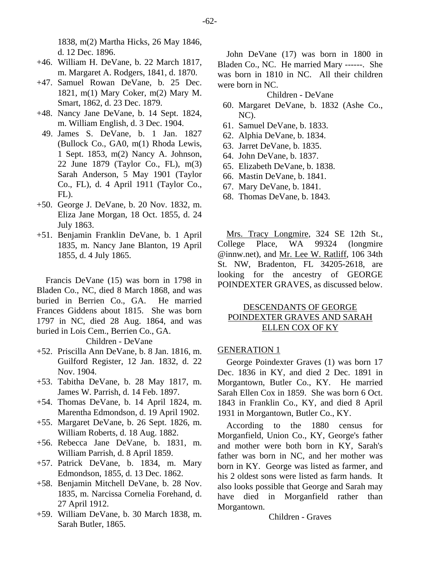1838, m(2) Martha Hicks, 26 May 1846, d. 12 Dec. 1896.

- +46. William H. DeVane, b. 22 March 1817, m. Margaret A. Rodgers, 1841, d. 1870.
- +47. Samuel Rowan DeVane, b. 25 Dec. 1821, m(1) Mary Coker, m(2) Mary M. Smart, 1862, d. 23 Dec. 1879.
- +48. Nancy Jane DeVane, b. 14 Sept. 1824, m. William English, d. 3 Dec. 1904.
- 49. James S. DeVane, b. 1 Jan. 1827 (Bullock Co., GA0, m(1) Rhoda Lewis, 1 Sept. 1853, m(2) Nancy A. Johnson, 22 June 1879 (Taylor Co., FL), m(3) Sarah Anderson, 5 May 1901 (Taylor Co., FL), d. 4 April 1911 (Taylor Co., FL).
- +50. George J. DeVane, b. 20 Nov. 1832, m. Eliza Jane Morgan, 18 Oct. 1855, d. 24 July 1863.
- +51. Benjamin Franklin DeVane, b. 1 April 1835, m. Nancy Jane Blanton, 19 April 1855, d. 4 July 1865.

Francis DeVane (15) was born in 1798 in Bladen Co., NC, died 8 March 1868, and was buried in Berrien Co., GA. He married Frances Giddens about 1815. She was born 1797 in NC, died 28 Aug. 1864, and was buried in Lois Cem., Berrien Co., GA.

Children - DeVane

- +52. Priscilla Ann DeVane, b. 8 Jan. 1816, m. Guilford Register, 12 Jan. 1832, d. 22 Nov. 1904.
- +53. Tabitha DeVane, b. 28 May 1817, m. James W. Parrish, d. 14 Feb. 1897.
- +54. Thomas DeVane, b. 14 April 1824, m. Marentha Edmondson, d. 19 April 1902.
- +55. Margaret DeVane, b. 26 Sept. 1826, m. William Roberts, d. 18 Aug. 1882.
- +56. Rebecca Jane DeVane, b. 1831, m. William Parrish, d. 8 April 1859.
- +57. Patrick DeVane, b. 1834, m. Mary Edmondson, 1855, d. 13 Dec. 1862.
- +58. Benjamin Mitchell DeVane, b. 28 Nov. 1835, m. Narcissa Cornelia Forehand, d. 27 April 1912.
- +59. William DeVane, b. 30 March 1838, m. Sarah Butler, 1865.

John DeVane (17) was born in 1800 in Bladen Co., NC. He married Mary ------. She was born in 1810 in NC. All their children were born in NC.

# Children - DeVane

- 60. Margaret DeVane, b. 1832 (Ashe Co., NC).
- 61. Samuel DeVane, b. 1833.
- 62. Alphia DeVane, b. 1834.
- 63. Jarret DeVane, b. 1835.
- 64. John DeVane, b. 1837.
- 65. Elizabeth DeVane, b. 1838.
- 66. Mastin DeVane, b. 1841.
- 67. Mary DeVane, b. 1841.
- 68. Thomas DeVane, b. 1843.

Mrs. Tracy Longmire, 324 SE 12th St., College Place, WA 99324 (longmire @innw.net), and Mr. Lee W. Ratliff, 106 34th St. NW, Bradenton, FL 34205-2618, are looking for the ancestry of GEORGE POINDEXTER GRAVES, as discussed below.

# DESCENDANTS OF GEORGE POINDEXTER GRAVES AND SARAH ELLEN COX OF KY

## GENERATION 1

George Poindexter Graves (1) was born 17 Dec. 1836 in KY, and died 2 Dec. 1891 in Morgantown, Butler Co., KY. He married Sarah Ellen Cox in 1859. She was born 6 Oct. 1843 in Franklin Co., KY, and died 8 April 1931 in Morgantown, Butler Co., KY.

According to the 1880 census for Morganfield, Union Co., KY, George's father and mother were both born in KY, Sarah's father was born in NC, and her mother was born in KY. George was listed as farmer, and his 2 oldest sons were listed as farm hands. It also looks possible that George and Sarah may have died in Morganfield rather than Morgantown.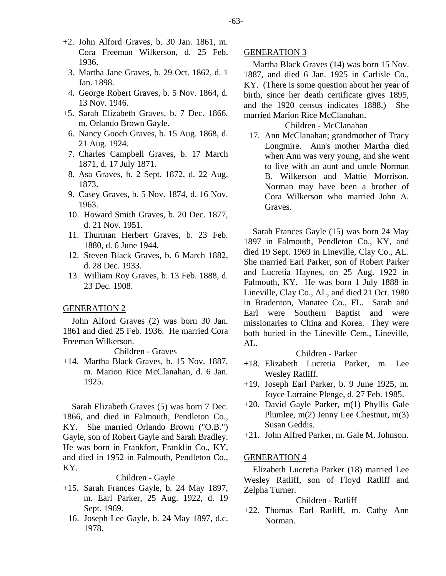- +2. John Alford Graves, b. 30 Jan. 1861, m. Cora Freeman Wilkerson, d. 25 Feb. 1936.
	- 3. Martha Jane Graves, b. 29 Oct. 1862, d. 1 Jan. 1898.
	- 4. George Robert Graves, b. 5 Nov. 1864, d. 13 Nov. 1946.
- +5. Sarah Elizabeth Graves, b. 7 Dec. 1866, m. Orlando Brown Gayle.
	- 6. Nancy Gooch Graves, b. 15 Aug. 1868, d. 21 Aug. 1924.
	- 7. Charles Campbell Graves, b. 17 March 1871, d. 17 July 1871.
	- 8. Asa Graves, b. 2 Sept. 1872, d. 22 Aug. 1873.
	- 9. Casey Graves, b. 5 Nov. 1874, d. 16 Nov. 1963.
	- 10. Howard Smith Graves, b. 20 Dec. 1877, d. 21 Nov. 1951.
	- 11. Thurman Herbert Graves, b. 23 Feb. 1880, d. 6 June 1944.
	- 12. Steven Black Graves, b. 6 March 1882, d. 28 Dec. 1933.
	- 13. William Roy Graves, b. 13 Feb. 1888, d. 23 Dec. 1908.

## GENERATION 2

John Alford Graves (2) was born 30 Jan. 1861 and died 25 Feb. 1936. He married Cora Freeman Wilkerson.

#### Children - Graves

+14. Martha Black Graves, b. 15 Nov. 1887, m. Marion Rice McClanahan, d. 6 Jan. 1925.

Sarah Elizabeth Graves (5) was born 7 Dec. 1866, and died in Falmouth, Pendleton Co., KY. She married Orlando Brown ("O.B.") Gayle, son of Robert Gayle and Sarah Bradley. He was born in Frankfort, Franklin Co., KY, and died in 1952 in Falmouth, Pendleton Co., KY.

#### Children - Gayle

- +15. Sarah Frances Gayle, b. 24 May 1897, m. Earl Parker, 25 Aug. 1922, d. 19 Sept. 1969.
	- 16. Joseph Lee Gayle, b. 24 May 1897, d.c. 1978.

#### GENERATION 3

Martha Black Graves (14) was born 15 Nov. 1887, and died 6 Jan. 1925 in Carlisle Co., KY. (There is some question about her year of birth, since her death certificate gives 1895, and the 1920 census indicates 1888.) She married Marion Rice McClanahan.

#### Children - McClanahan

 17. Ann McClanahan; grandmother of Tracy Longmire. Ann's mother Martha died when Ann was very young, and she went to live with an aunt and uncle Norman B. Wilkerson and Mattie Morrison. Norman may have been a brother of Cora Wilkerson who married John A. Graves.

Sarah Frances Gayle (15) was born 24 May 1897 in Falmouth, Pendleton Co., KY, and died 19 Sept. 1969 in Lineville, Clay Co., AL. She married Earl Parker, son of Robert Parker and Lucretia Haynes, on 25 Aug. 1922 in Falmouth, KY. He was born 1 July 1888 in Lineville, Clay Co., AL, and died 21 Oct. 1980 in Bradenton, Manatee Co., FL. Sarah and Earl were Southern Baptist and were missionaries to China and Korea. They were both buried in the Lineville Cem., Lineville,  $AI<sub>1</sub>$ .

#### Children - Parker

- +18. Elizabeth Lucretia Parker, m. Lee Wesley Ratliff.
- +19. Joseph Earl Parker, b. 9 June 1925, m. Joyce Lorraine Plenge, d. 27 Feb. 1985.
- +20. David Gayle Parker, m(1) Phyllis Gale Plumlee, m(2) Jenny Lee Chestnut, m(3) Susan Geddis.
- +21. John Alfred Parker, m. Gale M. Johnson.

#### GENERATION 4

Elizabeth Lucretia Parker (18) married Lee Wesley Ratliff, son of Floyd Ratliff and Zelpha Turner.

## Children - Ratliff

+22. Thomas Earl Ratliff, m. Cathy Ann Norman.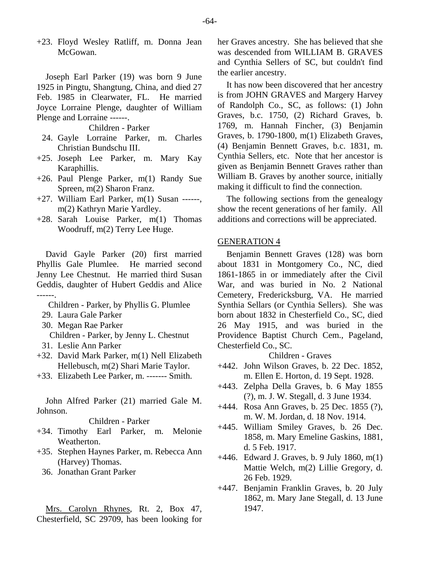+23. Floyd Wesley Ratliff, m. Donna Jean McGowan.

Joseph Earl Parker (19) was born 9 June 1925 in Pingtu, Shangtung, China, and died 27 Feb. 1985 in Clearwater, FL. He married Joyce Lorraine Plenge, daughter of William Plenge and Lorraine ------.

Children - Parker

- 24. Gayle Lorraine Parker, m. Charles Christian Bundschu III.
- +25. Joseph Lee Parker, m. Mary Kay Karaphillis.
- +26. Paul Plenge Parker, m(1) Randy Sue Spreen, m(2) Sharon Franz.
- $+27$ . William Earl Parker, m(1) Susan ------, m(2) Kathryn Marie Yardley.
- +28. Sarah Louise Parker, m(1) Thomas Woodruff, m(2) Terry Lee Huge.

David Gayle Parker (20) first married Phyllis Gale Plumlee. He married second Jenny Lee Chestnut. He married third Susan Geddis, daughter of Hubert Geddis and Alice ------.

- Children Parker, by Phyllis G. Plumlee
- 29. Laura Gale Parker
- 30. Megan Rae Parker
- Children Parker, by Jenny L. Chestnut
- 31. Leslie Ann Parker
- +32. David Mark Parker, m(1) Nell Elizabeth Hellebusch, m(2) Shari Marie Taylor.
- +33. Elizabeth Lee Parker, m. ------- Smith.

John Alfred Parker (21) married Gale M. Johnson.

## Children - Parker

- +34. Timothy Earl Parker, m. Melonie Weatherton.
- +35. Stephen Haynes Parker, m. Rebecca Ann (Harvey) Thomas.
	- 36. Jonathan Grant Parker

Mrs. Carolyn Rhynes, Rt. 2, Box 47, Chesterfield, SC 29709, has been looking for her Graves ancestry. She has believed that she was descended from WILLIAM B. GRAVES and Cynthia Sellers of SC, but couldn't find the earlier ancestry.

It has now been discovered that her ancestry is from JOHN GRAVES and Margery Harvey of Randolph Co., SC, as follows: (1) John Graves, b.c. 1750, (2) Richard Graves, b. 1769, m. Hannah Fincher, (3) Benjamin Graves, b. 1790-1800, m(1) Elizabeth Graves, (4) Benjamin Bennett Graves, b.c. 1831, m. Cynthia Sellers, etc. Note that her ancestor is given as Benjamin Bennett Graves rather than William B. Graves by another source, initially making it difficult to find the connection.

The following sections from the genealogy show the recent generations of her family. All additions and corrections will be appreciated.

#### GENERATION 4

Benjamin Bennett Graves (128) was born about 1831 in Montgomery Co., NC, died 1861-1865 in or immediately after the Civil War, and was buried in No. 2 National Cemetery, Fredericksburg, VA. He married Synthia Sellars (or Cynthia Sellers). She was born about 1832 in Chesterfield Co., SC, died 26 May 1915, and was buried in the Providence Baptist Church Cem., Pageland, Chesterfield Co., SC.

- +442. John Wilson Graves, b. 22 Dec. 1852, m. Ellen E. Horton, d. 19 Sept. 1928.
- +443. Zelpha Della Graves, b. 6 May 1855 (?), m. J. W. Stegall, d. 3 June 1934.
- +444. Rosa Ann Graves, b. 25 Dec. 1855 (?), m. W. M. Jordan, d. 18 Nov. 1914.
- +445. William Smiley Graves, b. 26 Dec. 1858, m. Mary Emeline Gaskins, 1881, d. 5 Feb. 1917.
- +446. Edward J. Graves, b. 9 July 1860, m(1) Mattie Welch, m(2) Lillie Gregory, d. 26 Feb. 1929.
- +447. Benjamin Franklin Graves, b. 20 July 1862, m. Mary Jane Stegall, d. 13 June 1947.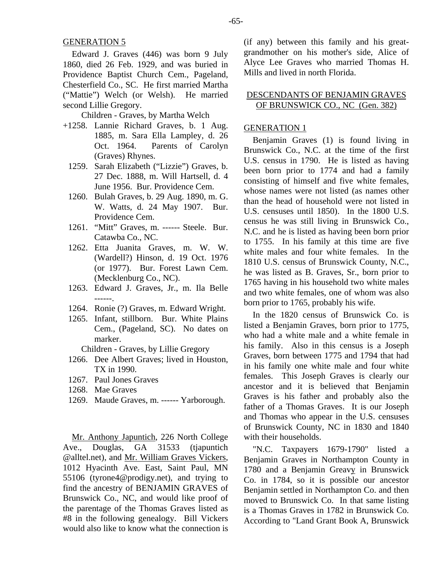Edward J. Graves (446) was born 9 July 1860, died 26 Feb. 1929, and was buried in Providence Baptist Church Cem., Pageland, Chesterfield Co., SC. He first married Martha ("Mattie") Welch (or Welsh). He married second Lillie Gregory.

Children - Graves, by Martha Welch

- +1258. Lannie Richard Graves, b. 1 Aug. 1885, m. Sara Ella Lampley, d. 26 Oct. 1964. Parents of Carolyn (Graves) Rhynes.
	- 1259. Sarah Elizabeth ("Lizzie") Graves, b. 27 Dec. 1888, m. Will Hartsell, d. 4 June 1956. Bur. Providence Cem.
	- 1260. Bulah Graves, b. 29 Aug. 1890, m. G. W. Watts, d. 24 May 1907. Bur. Providence Cem.
	- 1261. "Mitt" Graves, m. ------ Steele. Bur. Catawba Co., NC.
	- 1262. Etta Juanita Graves, m. W. W. (Wardell?) Hinson, d. 19 Oct. 1976 (or 1977). Bur. Forest Lawn Cem. (Mecklenburg Co., NC).
	- 1263. Edward J. Graves, Jr., m. Ila Belle ------.
	- 1264. Ronie (?) Graves, m. Edward Wright.
	- 1265. Infant, stillborn. Bur. White Plains Cem., (Pageland, SC). No dates on marker.

Children - Graves, by Lillie Gregory

- 1266. Dee Albert Graves; lived in Houston, TX in 1990.
- 1267. Paul Jones Graves
- 1268. Mae Graves
- 1269. Maude Graves, m. ------ Yarborough.

Mr. Anthony Japuntich, 226 North College Ave., Douglas, GA 31533 (tjapuntich @alltel.net), and Mr. William Graves Vickers, 1012 Hyacinth Ave. East, Saint Paul, MN 55106 (tyrone4@prodigy.net), and trying to find the ancestry of BENJAMIN GRAVES of Brunswick Co., NC, and would like proof of the parentage of the Thomas Graves listed as #8 in the following genealogy. Bill Vickers would also like to know what the connection is

(if any) between this family and his greatgrandmother on his mother's side, Alice of Alyce Lee Graves who married Thomas H. Mills and lived in north Florida.

# DESCENDANTS OF BENJAMIN GRAVES OF BRUNSWICK CO., NC (Gen. 382)

## GENERATION 1

Benjamin Graves (1) is found living in Brunswick Co., N.C. at the time of the first U.S. census in 1790. He is listed as having been born prior to 1774 and had a family consisting of himself and five white females, whose names were not listed (as names other than the head of household were not listed in U.S. censuses until 1850). In the 1800 U.S. census he was still living in Brunswick Co., N.C. and he is listed as having been born prior to 1755. In his family at this time are five white males and four white females. In the 1810 U.S. census of Brunswick County, N.C., he was listed as B. Graves, Sr., born prior to 1765 having in his household two white males and two white females, one of whom was also born prior to 1765, probably his wife.

In the 1820 census of Brunswick Co. is listed a Benjamin Graves, born prior to 1775, who had a white male and a white female in his family. Also in this census is a Joseph Graves, born between 1775 and 1794 that had in his family one white male and four white females. This Joseph Graves is clearly our ancestor and it is believed that Benjamin Graves is his father and probably also the father of a Thomas Graves. It is our Joseph and Thomas who appear in the U.S. censuses of Brunswick County, NC in 1830 and 1840 with their households.

"N.C. Taxpayers 1679-1790" listed a Benjamin Graves in Northampton County in 1780 and a Benjamin Greavy in Brunswick Co. in 1784, so it is possible our ancestor Benjamin settled in Northampton Co. and then moved to Brunswick Co. In that same listing is a Thomas Graves in 1782 in Brunswick Co. According to "Land Grant Book A, Brunswick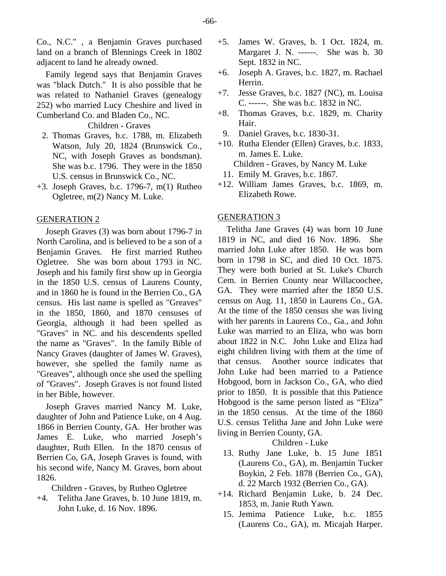Co., N.C." , a Benjamin Graves purchased land on a branch of Blennings Creek in 1802 adjacent to land he already owned.

Family legend says that Benjamin Graves was "black Dutch." It is also possible that he was related to Nathaniel Graves (genealogy 252) who married Lucy Cheshire and lived in Cumberland Co. and Bladen Co., NC.

Children - Graves

- 2. Thomas Graves, b.c. 1788, m. Elizabeth Watson, July 20, 1824 (Brunswick Co., NC, with Joseph Graves as bondsman). She was b.c. 1796. They were in the 1850 U.S. census in Brunswick Co., NC.
- +3. Joseph Graves, b.c. 1796-7, m(1) Rutheo Ogletree, m(2) Nancy M. Luke.

#### GENERATION 2

Joseph Graves (3) was born about 1796-7 in North Carolina, and is believed to be a son of a Benjamin Graves. He first married Rutheo Ogletree. She was born about 1793 in NC. Joseph and his family first show up in Georgia in the 1850 U.S. census of Laurens County, and in 1860 he is found in the Berrien Co., GA census. His last name is spelled as "Greaves" in the 1850, 1860, and 1870 censuses of Georgia, although it had been spelled as "Graves" in NC. and his descendents spelled the name as "Graves". In the family Bible of Nancy Graves (daughter of James W. Graves), however, she spelled the family name as "Greaves", although once she used the spelling of "Graves". Joseph Graves is not found listed in her Bible, however.

Joseph Graves married Nancy M. Luke, daughter of John and Patience Luke, on 4 Aug. 1866 in Berrien County, GA. Her brother was James E. Luke, who married Joseph's daughter, Ruth Ellen. In the 1870 census of Berrien Co, GA, Joseph Graves is found, with his second wife, Nancy M. Graves, born about 1826.

Children - Graves, by Rutheo Ogletree

+4. Telitha Jane Graves, b. 10 June 1819, m. John Luke, d. 16 Nov. 1896.

- +5. James W. Graves, b. 1 Oct. 1824, m. Margaret J. N. ------. She was b. 30 Sept. 1832 in NC.
- +6. Joseph A. Graves, b.c. 1827, m. Rachael Herrin.
- +7. Jesse Graves, b.c. 1827 (NC), m. Louisa C. ------. She was b.c. 1832 in NC.
- +8. Thomas Graves, b.c. 1829, m. Charity Hair.
	- 9. Daniel Graves, b.c. 1830-31.
- +10. Rutha Elender (Ellen) Graves, b.c. 1833, m. James E. Luke. Children - Graves, by Nancy M. Luke
	- 11. Emily M. Graves, b.c. 1867.
- +12. William James Graves, b.c. 1869, m. Elizabeth Rowe.

## GENERATION 3

Telitha Jane Graves (4) was born 10 June 1819 in NC, and died 16 Nov. 1896. She married John Luke after 1850. He was born born in 1798 in SC, and died 10 Oct. 1875. They were both buried at St. Luke's Church Cem. in Berrien County near Willacoochee, GA. They were married after the 1850 U.S. census on Aug. 11, 1850 in Laurens Co., GA. At the time of the 1850 census she was living with her parents in Laurens Co., Ga., and John Luke was married to an Eliza, who was born about 1822 in N.C. John Luke and Eliza had eight children living with them at the time of that census. Another source indicates that John Luke had been married to a Patience Hobgood, born in Jackson Co., GA, who died prior to 1850. It is possible that this Patience Hobgood is the same person listed as "Eliza" in the 1850 census. At the time of the 1860 U.S. census Telitha Jane and John Luke were living in Berrien County, GA.

# Children - Luke

- 13. Ruthy Jane Luke, b. 15 June 1851 (Laurens Co., GA), m. Benjamin Tucker Boykin, 2 Feb. 1878 (Berrien Co., GA), d. 22 March 1932 (Berrien Co., GA).
- +14. Richard Benjamin Luke, b. 24 Dec. 1853, m. Janie Ruth Yawn.
- 15. Jemima Patience Luke, b.c. 1855 (Laurens Co., GA), m. Micajah Harper.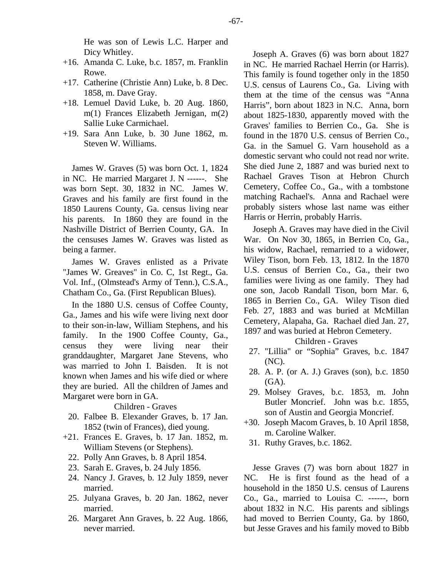He was son of Lewis L.C. Harper and Dicy Whitley.

- +16. Amanda C. Luke, b.c. 1857, m. Franklin Rowe.
- +17. Catherine (Christie Ann) Luke, b. 8 Dec. 1858, m. Dave Gray.
- +18. Lemuel David Luke, b. 20 Aug. 1860, m(1) Frances Elizabeth Jernigan, m(2) Sallie Luke Carmichael.
- +19. Sara Ann Luke, b. 30 June 1862, m. Steven W. Williams.

James W. Graves (5) was born Oct. 1, 1824 in NC. He married Margaret J. N ------. She was born Sept. 30, 1832 in NC. James W. Graves and his family are first found in the 1850 Laurens County, Ga. census living near his parents. In 1860 they are found in the Nashville District of Berrien County, GA. In the censuses James W. Graves was listed as being a farmer.

James W. Graves enlisted as a Private "James W. Greaves" in Co. C, 1st Regt., Ga. Vol. Inf., (Olmstead's Army of Tenn.), C.S.A., Chatham Co., Ga. (First Republican Blues).

In the 1880 U.S. census of Coffee County, Ga., James and his wife were living next door to their son-in-law, William Stephens, and his family. In the 1900 Coffee County, Ga., census they were living near their granddaughter, Margaret Jane Stevens, who was married to John I. Baisden. It is not known when James and his wife died or where they are buried. All the children of James and Margaret were born in GA.

#### Children - Graves

- 20. Falbee B. Elexander Graves, b. 17 Jan. 1852 (twin of Frances), died young.
- +21. Frances E. Graves, b. 17 Jan. 1852, m. William Stevens (or Stephens).
	- 22. Polly Ann Graves, b. 8 April 1854.
	- 23. Sarah E. Graves, b. 24 July 1856.
	- 24. Nancy J. Graves, b. 12 July 1859, never married.
	- 25. Julyana Graves, b. 20 Jan. 1862, never married.
	- 26. Margaret Ann Graves, b. 22 Aug. 1866, never married.

Joseph A. Graves (6) was born about 1827 in NC. He married Rachael Herrin (or Harris). This family is found together only in the 1850 U.S. census of Laurens Co., Ga. Living with them at the time of the census was "Anna Harris", born about 1823 in N.C. Anna, born about 1825-1830, apparently moved with the Graves' families to Berrien Co., Ga. She is found in the 1870 U.S. census of Berrien Co., Ga. in the Samuel G. Varn household as a domestic servant who could not read nor write. She died June 2, 1887 and was buried next to Rachael Graves Tison at Hebron Church Cemetery, Coffee Co., Ga., with a tombstone matching Rachael's. Anna and Rachael were probably sisters whose last name was either Harris or Herrin, probably Harris.

Joseph A. Graves may have died in the Civil War. On Nov 30, 1865, in Berrien Co, Ga., his widow, Rachael, remarried to a widower, Wiley Tison, born Feb. 13, 1812. In the 1870 U.S. census of Berrien Co., Ga., their two families were living as one family. They had one son, Jacob Randall Tison, born Mar. 6, 1865 in Berrien Co., GA. Wiley Tison died Feb. 27, 1883 and was buried at McMillan Cemetery, Alapaha, Ga. Rachael died Jan. 27, 1897 and was buried at Hebron Cemetery.

#### Children - Graves

- 27. "Lillia" or "Sophia" Graves, b.c. 1847 (NC).
- 28. A. P. (or A. J.) Graves (son), b.c. 1850  $(GA)$ .
- 29. Molsey Graves, b.c. 1853, m. John Butler Moncrief. John was b.c. 1855, son of Austin and Georgia Moncrief.
- +30. Joseph Macom Graves, b. 10 April 1858, m. Caroline Walker.
	- 31. Ruthy Graves, b.c. 1862.

Jesse Graves (7) was born about 1827 in NC. He is first found as the head of a household in the 1850 U.S. census of Laurens Co., Ga., married to Louisa C. ------, born about 1832 in N.C. His parents and siblings had moved to Berrien County, Ga. by 1860, but Jesse Graves and his family moved to Bibb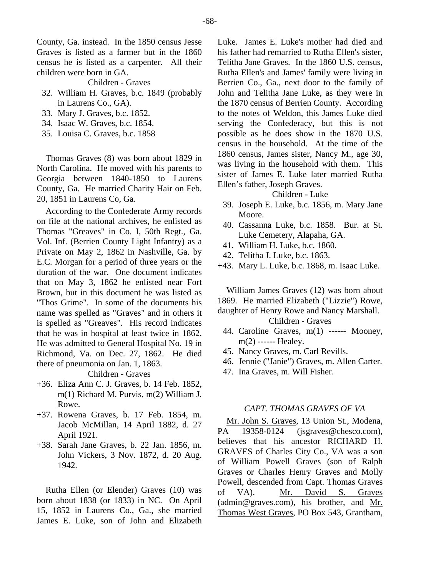County, Ga. instead. In the 1850 census Jesse Graves is listed as a farmer but in the 1860 census he is listed as a carpenter. All their children were born in GA.

Children - Graves

- 32. William H. Graves, b.c. 1849 (probably in Laurens Co., GA).
- 33. Mary J. Graves, b.c. 1852.
- 34. Isaac W. Graves, b.c. 1854.
- 35. Louisa C. Graves, b.c. 1858

Thomas Graves (8) was born about 1829 in North Carolina. He moved with his parents to Georgia between 1840-1850 to Laurens County, Ga. He married Charity Hair on Feb. 20, 1851 in Laurens Co, Ga.

According to the Confederate Army records on file at the national archives, he enlisted as Thomas "Greaves" in Co. I, 50th Regt., Ga. Vol. Inf. (Berrien County Light Infantry) as a Private on May 2, 1862 in Nashville, Ga. by E.C. Morgan for a period of three years or the duration of the war. One document indicates that on May 3, 1862 he enlisted near Fort Brown, but in this document he was listed as "Thos Grime". In some of the documents his name was spelled as "Graves" and in others it is spelled as "Greaves". His record indicates that he was in hospital at least twice in 1862. He was admitted to General Hospital No. 19 in Richmond, Va. on Dec. 27, 1862. He died there of pneumonia on Jan. 1, 1863.

Children - Graves

- +36. Eliza Ann C. J. Graves, b. 14 Feb. 1852, m(1) Richard M. Purvis, m(2) William J. Rowe.
- +37. Rowena Graves, b. 17 Feb. 1854, m. Jacob McMillan, 14 April 1882, d. 27 April 1921.
- +38. Sarah Jane Graves, b. 22 Jan. 1856, m. John Vickers, 3 Nov. 1872, d. 20 Aug. 1942.

Rutha Ellen (or Elender) Graves (10) was born about 1838 (or 1833) in NC. On April 15, 1852 in Laurens Co., Ga., she married James E. Luke, son of John and Elizabeth Luke. James E. Luke's mother had died and his father had remarried to Rutha Ellen's sister, Telitha Jane Graves. In the 1860 U.S. census, Rutha Ellen's and James' family were living in Berrien Co., Ga., next door to the family of John and Telitha Jane Luke, as they were in the 1870 census of Berrien County. According to the notes of Weldon, this James Luke died serving the Confederacy, but this is not possible as he does show in the 1870 U.S. census in the household. At the time of the 1860 census, James sister, Nancy M., age 30, was living in the household with them. This sister of James E. Luke later married Rutha Ellen's father, Joseph Graves.

# Children - Luke

- 39. Joseph E. Luke, b.c. 1856, m. Mary Jane Moore.
- 40. Cassanna Luke, b.c. 1858. Bur. at St. Luke Cemetery, Alapaha, GA.
- 41. William H. Luke, b.c. 1860.
- 42. Telitha J. Luke, b.c. 1863.
- +43. Mary L. Luke, b.c. 1868, m. Isaac Luke.

William James Graves (12) was born about 1869. He married Elizabeth ("Lizzie") Rowe, daughter of Henry Rowe and Nancy Marshall. Children - Graves

- 44. Caroline Graves, m(1) ------ Mooney, m(2) ------ Healey.
- 45. Nancy Graves, m. Carl Revills.
- 46. Jennie ("Janie") Graves, m. Allen Carter.
- 47. Ina Graves, m. Will Fisher.

## *CAPT. THOMAS GRAVES OF VA*

Mr. John S. Graves, 13 Union St., Modena, PA 19358-0124 (jsgraves@chesco.com), believes that his ancestor RICHARD H. GRAVES of Charles City Co., VA was a son of William Powell Graves (son of Ralph Graves or Charles Henry Graves and Molly Powell, descended from Capt. Thomas Graves of VA). Mr. David S. Graves (admin@graves.com), his brother, and Mr. Thomas West Graves, PO Box 543, Grantham,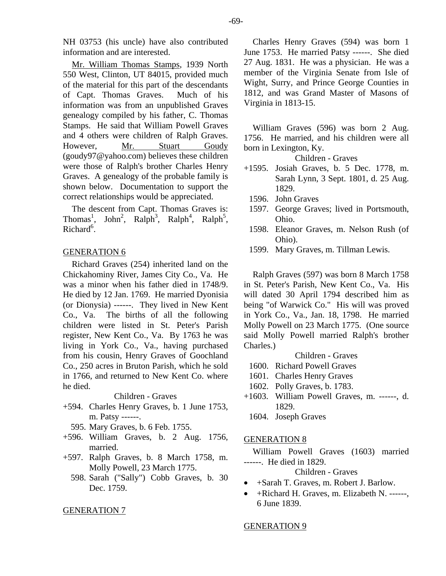NH 03753 (his uncle) have also contributed information and are interested.

Mr. William Thomas Stamps, 1939 North 550 West, Clinton, UT 84015, provided much of the material for this part of the descendants of Capt. Thomas Graves. Much of his information was from an unpublished Graves genealogy compiled by his father, C. Thomas Stamps. He said that William Powell Graves and 4 others were children of Ralph Graves. However, Mr. Stuart Goudy (goudy97@yahoo.com) believes these children were those of Ralph's brother Charles Henry Graves. A genealogy of the probable family is shown below. Documentation to support the correct relationships would be appreciated.

The descent from Capt. Thomas Graves is: Thomas<sup>1</sup>, John<sup>2</sup>, Ralph<sup>3</sup>, Ralph<sup>4</sup>, Ralph<sup>5</sup>, Richard<sup>6</sup>.

#### GENERATION 6

Richard Graves (254) inherited land on the Chickahominy River, James City Co., Va. He was a minor when his father died in 1748/9. He died by 12 Jan. 1769. He married Dyonisia (or Dionysia) ------. They lived in New Kent Co., Va. The births of all the following children were listed in St. Peter's Parish register, New Kent Co., Va. By 1763 he was living in York Co., Va., having purchased from his cousin, Henry Graves of Goochland Co., 250 acres in Bruton Parish, which he sold in 1766, and returned to New Kent Co. where he died.

#### Children - Graves

- +594. Charles Henry Graves, b. 1 June 1753, m. Patsy ------.
- 595. Mary Graves, b. 6 Feb. 1755.
- +596. William Graves, b. 2 Aug. 1756, married.
- +597. Ralph Graves, b. 8 March 1758, m. Molly Powell, 23 March 1775.
	- 598. Sarah ("Sally") Cobb Graves, b. 30 Dec. 1759.

#### GENERATION 7

Charles Henry Graves (594) was born 1 June 1753. He married Patsy ------. She died 27 Aug. 1831. He was a physician. He was a member of the Virginia Senate from Isle of Wight, Surry, and Prince George Counties in 1812, and was Grand Master of Masons of Virginia in 1813-15.

William Graves (596) was born 2 Aug. 1756. He married, and his children were all born in Lexington, Ky.

Children - Graves

- +1595. Josiah Graves, b. 5 Dec. 1778, m. Sarah Lynn, 3 Sept. 1801, d. 25 Aug. 1829.
	- 1596. John Graves
- 1597. George Graves; lived in Portsmouth, Ohio.
- 1598. Eleanor Graves, m. Nelson Rush (of Ohio).
- 1599. Mary Graves, m. Tillman Lewis.

Ralph Graves (597) was born 8 March 1758 in St. Peter's Parish, New Kent Co., Va. His will dated 30 April 1794 described him as being "of Warwick Co." His will was proved in York Co., Va., Jan. 18, 1798. He married Molly Powell on 23 March 1775. (One source said Molly Powell married Ralph's brother Charles.)

Children - Graves

- 1600. Richard Powell Graves
- 1601. Charles Henry Graves
- 1602. Polly Graves, b. 1783.
- +1603. William Powell Graves, m. ------, d. 1829.
	- 1604. Joseph Graves

#### GENERATION 8

William Powell Graves (1603) married ------. He died in 1829.

Children - Graves

- +Sarah T. Graves, m. Robert J. Barlow.
- +Richard H. Graves, m. Elizabeth N. ------, 6 June 1839.

#### GENERATION 9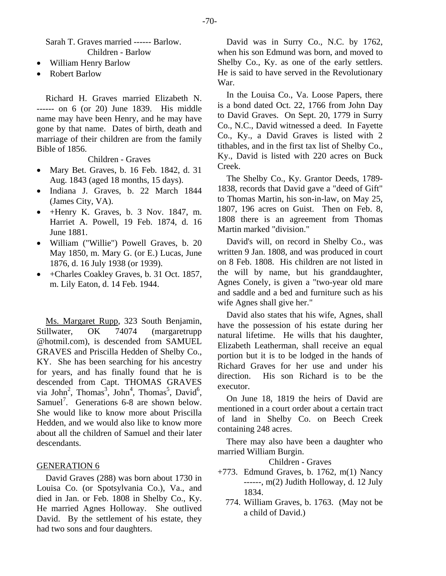Sarah T. Graves married ------ Barlow. Children - Barlow

- William Henry Barlow
- Robert Barlow

Richard H. Graves married Elizabeth N. ------ on 6 (or 20) June 1839. His middle name may have been Henry, and he may have gone by that name. Dates of birth, death and marriage of their children are from the family Bible of 1856.

# Children - Graves

- Mary Bet. Graves, b. 16 Feb. 1842, d. 31 Aug. 1843 (aged 18 months, 15 days).
- Indiana J. Graves, b. 22 March 1844 (James City, VA).
- +Henry K. Graves, b. 3 Nov. 1847, m. Harriet A. Powell, 19 Feb. 1874, d. 16 June 1881.
- William ("Willie") Powell Graves, b. 20 May 1850, m. Mary G. (or E.) Lucas, June 1876, d. 16 July 1938 (or 1939).
- +Charles Coakley Graves, b. 31 Oct. 1857, m. Lily Eaton, d. 14 Feb. 1944.

Ms. Margaret Rupp, 323 South Benjamin, Stillwater, OK 74074 (margaretrupp @hotmil.com), is descended from SAMUEL GRAVES and Priscilla Hedden of Shelby Co., KY. She has been searching for his ancestry for years, and has finally found that he is descended from Capt. THOMAS GRAVES via John<sup>2</sup>, Thomas<sup>3</sup>, John<sup>4</sup>, Thomas<sup>5</sup>, David<sup>6</sup>, Samuel<sup>7</sup>. Generations 6-8 are shown below. She would like to know more about Priscilla Hedden, and we would also like to know more about all the children of Samuel and their later descendants.

## GENERATION 6

David Graves (288) was born about 1730 in Louisa Co. (or Spotsylvania Co.), Va., and died in Jan. or Feb. 1808 in Shelby Co., Ky. He married Agnes Holloway. She outlived David. By the settlement of his estate, they had two sons and four daughters.

David was in Surry Co., N.C. by 1762, when his son Edmund was born, and moved to Shelby Co., Ky. as one of the early settlers. He is said to have served in the Revolutionary War.

In the Louisa Co., Va. Loose Papers, there is a bond dated Oct. 22, 1766 from John Day to David Graves. On Sept. 20, 1779 in Surry Co., N.C., David witnessed a deed. In Fayette Co., Ky., a David Graves is listed with 2 tithables, and in the first tax list of Shelby Co., Ky., David is listed with 220 acres on Buck Creek.

The Shelby Co., Ky. Grantor Deeds, 1789- 1838, records that David gave a "deed of Gift" to Thomas Martin, his son-in-law, on May 25, 1807, 196 acres on Guist. Then on Feb. 8, 1808 there is an agreement from Thomas Martin marked "division."

David's will, on record in Shelby Co., was written 9 Jan. 1808, and was produced in court on 8 Feb. 1808. His children are not listed in the will by name, but his granddaughter, Agnes Conely, is given a "two-year old mare and saddle and a bed and furniture such as his wife Agnes shall give her."

David also states that his wife, Agnes, shall have the possession of his estate during her natural lifetime. He wills that his daughter, Elizabeth Leatherman, shall receive an equal portion but it is to be lodged in the hands of Richard Graves for her use and under his direction. His son Richard is to be the executor.

On June 18, 1819 the heirs of David are mentioned in a court order about a certain tract of land in Shelby Co. on Beech Creek containing 248 acres.

There may also have been a daughter who married William Burgin.

- $+773$ . Edmund Graves, b. 1762, m(1) Nancy  $---, m(2)$  Judith Holloway, d. 12 July 1834.
	- 774. William Graves, b. 1763. (May not be a child of David.)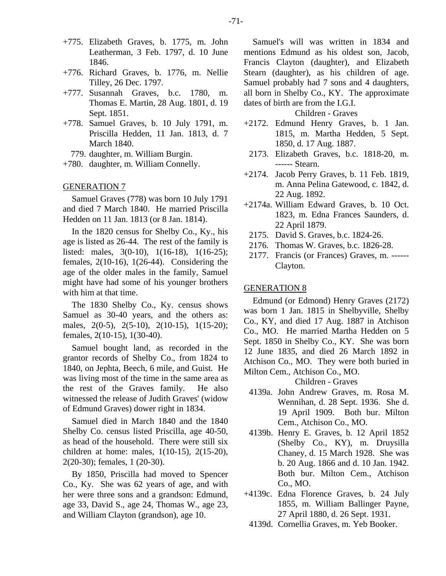- +775. Elizabeth Graves, b. 1775, m. John Leatherman, 3 Feb. 1797, d. 10 June 1846.
- +776. Richard Graves, b. 1776, m. Nellie Tilley, 26 Dec. 1797.
- +777. Susannah Graves, b.c. 1780, m. Thomas E. Martin, 28 Aug. 1801, d. 19 Sept. 1851.
- +778. Samuel Graves, b. 10 July 1791, m. Priscilla Hedden, 11 Jan. 1813, d. 7 March 1840.
	- 779. daughter, m. William Burgin.
- +780. daughter, m. William Connelly.

#### GENERATION 7

Samuel Graves (778) was born 10 July 1791 and died 7 March 1840. He married Priscilla Hedden on 11 Jan. 1813 (or 8 Jan. 1814).

In the 1820 census for Shelby Co., Ky., his age is listed as 26-44. The rest of the family is listed: males, 3(0-10), 1(16-18), 1(16-25); females, 2(10-16), 1(26-44). Considering the age of the older males in the family, Samuel might have had some of his younger brothers with him at that time.

The 1830 Shelby Co., Ky. census shows Samuel as 30-40 years, and the others as: males, 2(0-5), 2(5-10), 2(10-15), 1(15-20); females, 2(10-15), 1(30-40).

Samuel bought land, as recorded in the grantor records of Shelby Co., from 1824 to 1840, on Jephta, Beech, 6 mile, and Guist. He was living most of the time in the same area as the rest of the Graves family. He also witnessed the release of Judith Graves' (widow of Edmund Graves) dower right in 1834.

Samuel died in March 1840 and the 1840 Shelby Co. census listed Priscilla, age 40-50, as head of the household. There were still six children at home: males, 1(10-15), 2(15-20), 2(20-30); females, 1 (20-30).

By 1850, Priscilla had moved to Spencer Co., Ky. She was 62 years of age, and with her were three sons and a grandson: Edmund, age 33, David S., age 24, Thomas W., age 23, and William Clayton (grandson), age 10.

Samuel's will was written in 1834 and mentions Edmund as his oldest son, Jacob, Francis Clayton (daughter), and Elizabeth Stearn (daughter), as his children of age. Samuel probably had 7 sons and 4 daughters, all born in Shelby Co., KY. The approximate dates of birth are from the I.G.I.

#### Children - Graves

- +2172. Edmund Henry Graves, b. 1 Jan. 1815, m. Martha Hedden, 5 Sept. 1850, d. 17 Aug. 1887.
- 2173. Elizabeth Graves, b.c. 1818-20, m. ------ Stearn.
- +2174. Jacob Perry Graves, b. 11 Feb. 1819, m. Anna Pelina Gatewood, c. 1842, d. 22 Aug. 1892.
- +2174a. William Edward Graves, b. 10 Oct. 1823, m. Edna Frances Saunders, d. 22 April 1879.
- 2175. David S. Graves, b.c. 1824-26.
- 2176. Thomas W. Graves, b.c. 1826-28.
- 2177. Francis (or Frances) Graves, m. ------ Clayton.

#### GENERATION 8

Edmund (or Edmond) Henry Graves (2172) was born 1 Jan. 1815 in Shelbyville, Shelby Co., KY, and died 17 Aug. 1887 in Atchison Co., MO. He married Martha Hedden on 5 Sept. 1850 in Shelby Co., KY. She was born 12 June 1835, and died 26 March 1892 in Atchison Co., MO. They were both buried in Milton Cem., Atchison Co., MO.

- 4139a. John Andrew Graves, m. Rosa M. Wennihan, d. 28 Sept. 1936. She d. 19 April 1909. Both bur. Milton Cem., Atchison Co., MO.
- 4139b. Henry E. Graves, b. 12 April 1852 (Shelby Co., KY), m. Druysilla Chaney, d. 15 March 1928. She was b. 20 Aug. 1866 and d. 10 Jan. 1942. Both bur. Milton Cem., Atchison Co., MO.
- +4139c. Edna Florence Graves, b. 24 July 1855, m. William Ballinger Payne, 27 April 1880, d. 26 Sept. 1931.
- 4139d. Cornellia Graves, m. Yeb Booker.